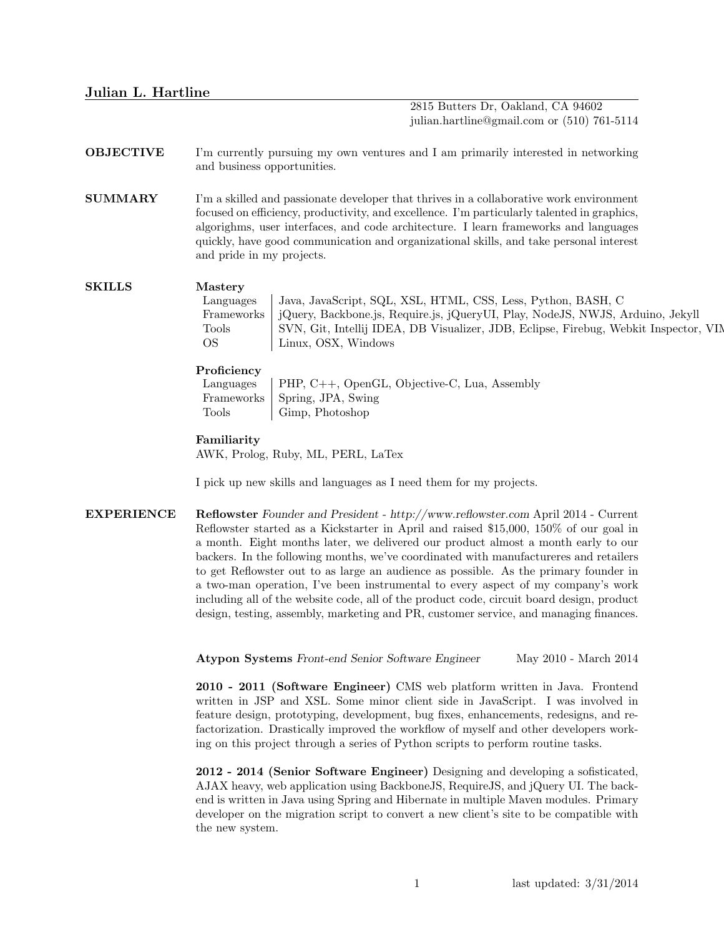# Julian L. Hartline

2815 Butters Dr, Oakland, CA 94602 julian.hartline@gmail.com or (510) 761-5114

# OBJECTIVE I'm currently pursuing my own ventures and I am primarily interested in networking and business opportunities.

**SUMMARY** I'm a skilled and passionate developer that thrives in a collaborative work environment focused on efficiency, productivity, and excellence. I'm particularly talented in graphics, algorighms, user interfaces, and code architecture. I learn frameworks and languages quickly, have good communication and organizational skills, and take personal interest and pride in my projects.

### SKILLS Mastery

Languages Java, JavaScript, SQL, XSL, HTML, CSS, Less, Python, BASH, C Frameworks jQuery, Backbone.js, Require.js, jQueryUI, Play, NodeJS, NWJS, Arduino, Jekyll Tools SVN, Git, Intellij IDEA, DB Visualizer, JDB, Eclipse, Firebug, Webkit Inspector, VIN OS Linux, OSX, Windows

#### Proficiency

Languages | PHP,  $C++$ , OpenGL, Objective-C, Lua, Assembly Frameworks Spring, JPA, Swing Tools | Gimp, Photoshop

### Familiarity

AWK, Prolog, Ruby, ML, PERL, LaTex

I pick up new skills and languages as I need them for my projects.

EXPERIENCE Reflowster Founder and President - http://www.reflowster.com April 2014 - Current Reflowster started as a Kickstarter in April and raised \$15,000, 150% of our goal in a month. Eight months later, we delivered our product almost a month early to our backers. In the following months, we've coordinated with manufactureres and retailers to get Reflowster out to as large an audience as possible. As the primary founder in a two-man operation, I've been instrumental to every aspect of my company's work including all of the website code, all of the product code, circuit board design, product design, testing, assembly, marketing and PR, customer service, and managing finances.

Atypon Systems Front-end Senior Software Engineer May 2010 - March 2014

2010 - 2011 (Software Engineer) CMS web platform written in Java. Frontend written in JSP and XSL. Some minor client side in JavaScript. I was involved in feature design, prototyping, development, bug fixes, enhancements, redesigns, and refactorization. Drastically improved the workflow of myself and other developers working on this project through a series of Python scripts to perform routine tasks.

2012 - 2014 (Senior Software Engineer) Designing and developing a sofisticated, AJAX heavy, web application using BackboneJS, RequireJS, and jQuery UI. The backend is written in Java using Spring and Hibernate in multiple Maven modules. Primary developer on the migration script to convert a new client's site to be compatible with the new system.